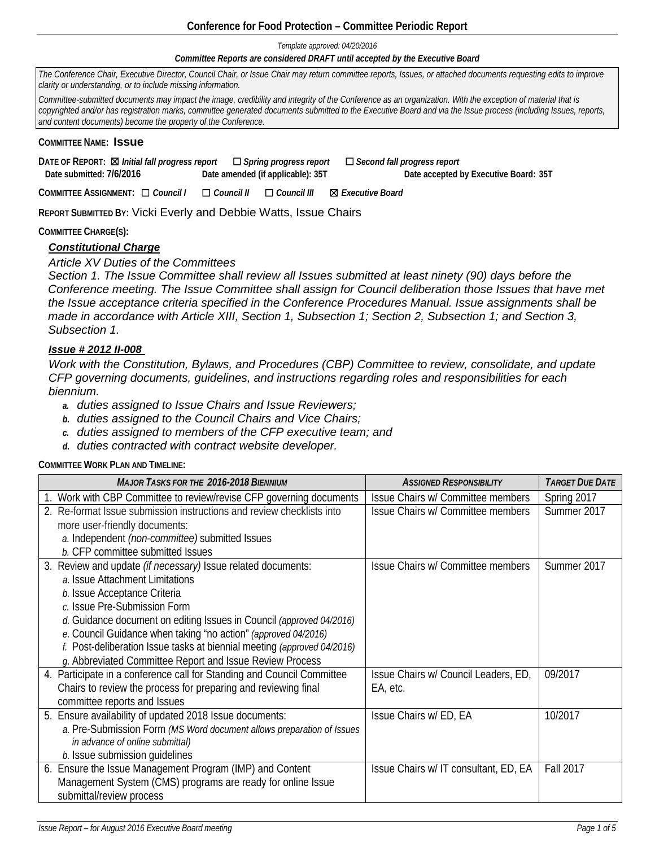## **Conference for Food Protection – Committee Periodic Report**

*Template approved: 04/20/2016*

#### *Committee Reports are considered DRAFT until accepted by the Executive Board*

*The Conference Chair, Executive Director, Council Chair, or Issue Chair may return committee reports, Issues, or attached documents requesting edits to improve clarity or understanding, or to include missing information.* 

*Committee-submitted documents may impact the image, credibility and integrity of the Conference as an organization. With the exception of material that is copyrighted and/or has registration marks, committee generated documents submitted to the Executive Board and via the Issue process (including Issues, reports, and content documents) become the property of the Conference.*

#### **COMMITTEE NAME: Issue**

**DATE OF REPORT:** ☒ *Initial fall progress report* ☐ *Spring progress report* ☐ *Second fall progress report*   **Date submitted: 7/6/2016 Date amended (if applicable): 35T Date accepted by Executive Board: 35T**

**COMMITTEE ASSIGNMENT:** ☐ *Council I* ☐ *Council II* ☐ *Council III* ☒ *Executive Board* 

**REPORT SUBMITTED BY:** Vicki Everly and Debbie Watts, Issue Chairs

**COMMITTEE CHARGE(S):**

# *Constitutional Charge*

*Article XV Duties of the Committees* 

*Section 1. The Issue Committee shall review all Issues submitted at least ninety (90) days before the Conference meeting. The Issue Committee shall assign for Council deliberation those Issues that have met the Issue acceptance criteria specified in the Conference Procedures Manual. Issue assignments shall be made in accordance with Article XIII, Section 1, Subsection 1; Section 2, Subsection 1; and Section 3, Subsection 1.*

## *Issue # 2012 II-008*

*Work with the Constitution, Bylaws, and Procedures (CBP) Committee to review, consolidate, and update CFP governing documents, guidelines, and instructions regarding roles and responsibilities for each biennium.* 

- *a. duties assigned to Issue Chairs and Issue Reviewers;*
- *b. duties assigned to the Council Chairs and Vice Chairs;*
- *c. duties assigned to members of the CFP executive team; and*
- *d. duties contracted with contract website developer.*

**COMMITTEE WORK PLAN AND TIMELINE:**

| <b>MAJOR TASKS FOR THE 2016-2018 BIENNIUM</b>                           | <b>ASSIGNED RESPONSIBILITY</b>       | <b>TARGET DUE DATE</b> |
|-------------------------------------------------------------------------|--------------------------------------|------------------------|
| 1. Work with CBP Committee to review/revise CFP governing documents     | Issue Chairs w/ Committee members    | Spring 2017            |
| 2. Re-format Issue submission instructions and review checklists into   | Issue Chairs w/ Committee members    | Summer 2017            |
| more user-friendly documents:                                           |                                      |                        |
| a. Independent (non-committee) submitted Issues                         |                                      |                        |
| b. CFP committee submitted Issues                                       |                                      |                        |
| 3. Review and update (if necessary) Issue related documents:            | Issue Chairs w/ Committee members    | Summer 2017            |
| a. Issue Attachment Limitations                                         |                                      |                        |
| b. Issue Acceptance Criteria                                            |                                      |                        |
| c. Issue Pre-Submission Form                                            |                                      |                        |
| d. Guidance document on editing Issues in Council (approved 04/2016)    |                                      |                        |
| e. Council Guidance when taking "no action" (approved 04/2016)          |                                      |                        |
| f. Post-deliberation Issue tasks at biennial meeting (approved 04/2016) |                                      |                        |
| g. Abbreviated Committee Report and Issue Review Process                |                                      |                        |
| 4. Participate in a conference call for Standing and Council Committee  | Issue Chairs w/ Council Leaders, ED, | 09/2017                |
| Chairs to review the process for preparing and reviewing final          | EA, etc.                             |                        |
| committee reports and Issues                                            |                                      |                        |
| 5. Ensure availability of updated 2018 Issue documents:                 | Issue Chairs w/ ED, EA               | 10/2017                |
| a. Pre-Submission Form (MS Word document allows preparation of Issues   |                                      |                        |
| in advance of online submittal)                                         |                                      |                        |
| b. Issue submission guidelines                                          |                                      |                        |
| 6. Ensure the Issue Management Program (IMP) and Content                | Issue Chairs w/IT consultant, ED, EA | <b>Fall 2017</b>       |
| Management System (CMS) programs are ready for online Issue             |                                      |                        |
| submittal/review process                                                |                                      |                        |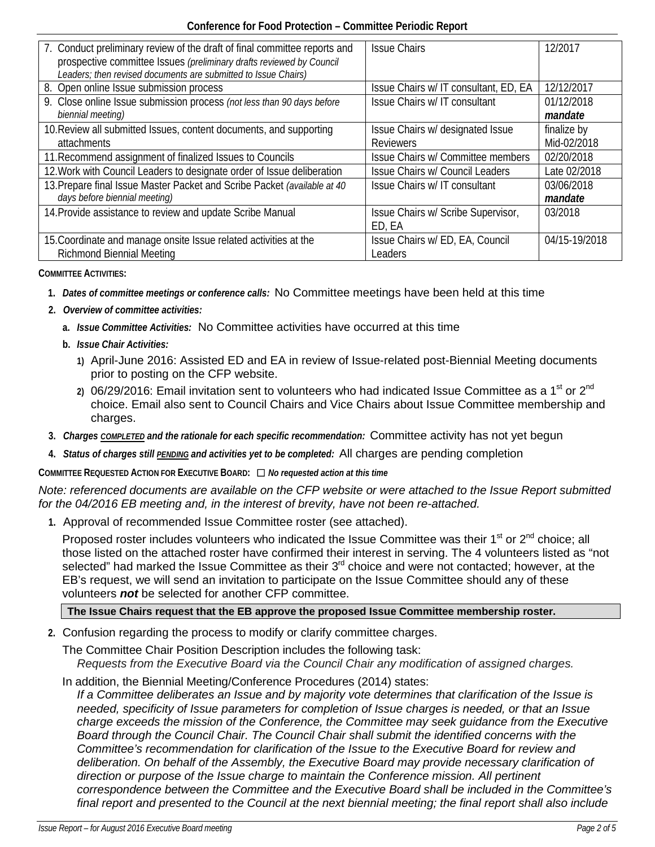| 7. Conduct preliminary review of the draft of final committee reports and<br>prospective committee Issues (preliminary drafts reviewed by Council<br>Leaders; then revised documents are submitted to Issue Chairs) | <b>Issue Chairs</b>                    | 12/2017       |
|---------------------------------------------------------------------------------------------------------------------------------------------------------------------------------------------------------------------|----------------------------------------|---------------|
| 8. Open online Issue submission process                                                                                                                                                                             | Issue Chairs w/IT consultant, ED, EA   | 12/12/2017    |
| 9. Close online Issue submission process (not less than 90 days before                                                                                                                                              | Issue Chairs w/ IT consultant          | 01/12/2018    |
| biennial meeting)                                                                                                                                                                                                   |                                        | mandate       |
| 10. Review all submitted Issues, content documents, and supporting                                                                                                                                                  | Issue Chairs w/ designated Issue       | finalize by   |
| attachments                                                                                                                                                                                                         | <b>Reviewers</b>                       | Mid-02/2018   |
| 11. Recommend assignment of finalized Issues to Councils                                                                                                                                                            | Issue Chairs w/ Committee members      | 02/20/2018    |
| 12. Work with Council Leaders to designate order of Issue deliberation                                                                                                                                              | <b>Issue Chairs w/ Council Leaders</b> | Late 02/2018  |
| 13. Prepare final Issue Master Packet and Scribe Packet (available at 40                                                                                                                                            | Issue Chairs w/ IT consultant          | 03/06/2018    |
| days before biennial meeting)                                                                                                                                                                                       |                                        | mandate       |
| 14. Provide assistance to review and update Scribe Manual                                                                                                                                                           | Issue Chairs w/ Scribe Supervisor,     | 03/2018       |
|                                                                                                                                                                                                                     | ED, EA                                 |               |
| 15. Coordinate and manage onsite Issue related activities at the                                                                                                                                                    | Issue Chairs w/ ED, EA, Council        | 04/15-19/2018 |
| <b>Richmond Biennial Meeting</b>                                                                                                                                                                                    | Leaders                                |               |

### **COMMITTEE ACTIVITIES:**

- **1.** *Dates of committee meetings or conference calls:* No Committee meetings have been held at this time
- **2.** *Overview of committee activities:* 
	- **a.** *Issue Committee Activities:* No Committee activities have occurred at this time
	- **b.** *Issue Chair Activities:* 
		- **1)** April-June 2016: Assisted ED and EA in review of Issue-related post-Biennial Meeting documents prior to posting on the CFP website.
		- 2) 06/29/2016: Email invitation sent to volunteers who had indicated Issue Committee as a 1<sup>st</sup> or 2<sup>nd</sup> choice. Email also sent to Council Chairs and Vice Chairs about Issue Committee membership and charges.
- **3.** *Charges COMPLETED and the rationale for each specific recommendation:* Committee activity has not yet begun
- **4.** *Status of charges still PENDING and activities yet to be completed:* All charges are pending completion

**COMMITTEE REQUESTED ACTION FOR EXECUTIVE BOARD:** ☐ *No requested action at this time*

*Note: referenced documents are available on the CFP website or were attached to the Issue Report submitted for the 04/2016 EB meeting and, in the interest of brevity, have not been re-attached.*

**1.** Approval of recommended Issue Committee roster (see attached).

Proposed roster includes volunteers who indicated the Issue Committee was their  $1<sup>st</sup>$  or  $2<sup>nd</sup>$  choice; all those listed on the attached roster have confirmed their interest in serving. The 4 volunteers listed as "not selected" had marked the Issue Committee as their 3<sup>rd</sup> choice and were not contacted; however, at the EB's request, we will send an invitation to participate on the Issue Committee should any of these volunteers *not* be selected for another CFP committee.

# **The Issue Chairs request that the EB approve the proposed Issue Committee membership roster.**

**2.** Confusion regarding the process to modify or clarify committee charges.

The Committee Chair Position Description includes the following task: *Requests from the Executive Board via the Council Chair any modification of assigned charges.*

In addition, the Biennial Meeting/Conference Procedures (2014) states:

*If a Committee deliberates an Issue and by majority vote determines that clarification of the Issue is needed, specificity of Issue parameters for completion of Issue charges is needed, or that an Issue charge exceeds the mission of the Conference, the Committee may seek guidance from the Executive Board through the Council Chair. The Council Chair shall submit the identified concerns with the Committee's recommendation for clarification of the Issue to the Executive Board for review and deliberation. On behalf of the Assembly, the Executive Board may provide necessary clarification of direction or purpose of the Issue charge to maintain the Conference mission. All pertinent correspondence between the Committee and the Executive Board shall be included in the Committee's final report and presented to the Council at the next biennial meeting; the final report shall also include*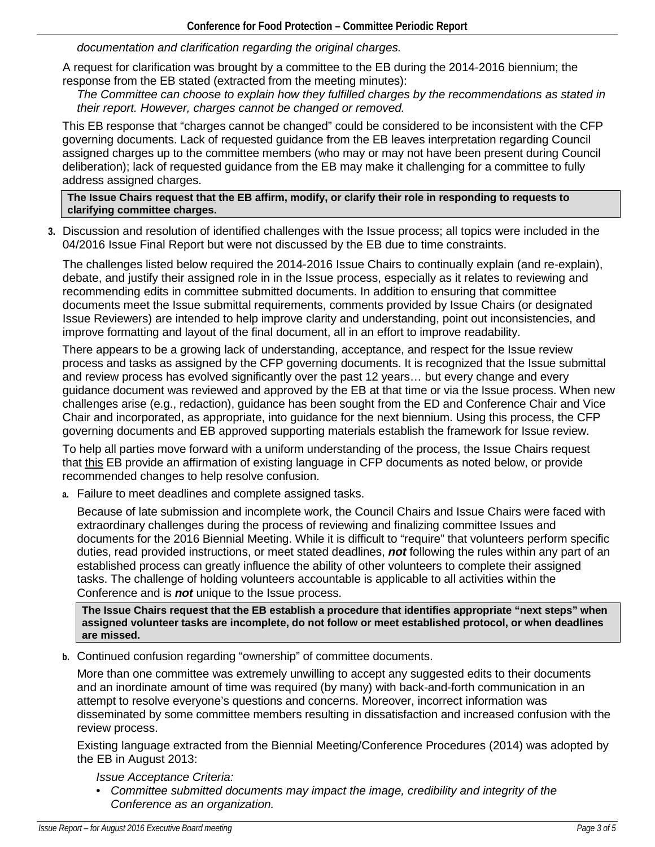*documentation and clarification regarding the original charges.*

A request for clarification was brought by a committee to the EB during the 2014-2016 biennium; the response from the EB stated (extracted from the meeting minutes):

*The Committee can choose to explain how they fulfilled charges by the recommendations as stated in their report. However, charges cannot be changed or removed.*

This EB response that "charges cannot be changed" could be considered to be inconsistent with the CFP governing documents. Lack of requested guidance from the EB leaves interpretation regarding Council assigned charges up to the committee members (who may or may not have been present during Council deliberation); lack of requested guidance from the EB may make it challenging for a committee to fully address assigned charges.

**The Issue Chairs request that the EB affirm, modify, or clarify their role in responding to requests to clarifying committee charges.**

**3.** Discussion and resolution of identified challenges with the Issue process; all topics were included in the 04/2016 Issue Final Report but were not discussed by the EB due to time constraints.

The challenges listed below required the 2014-2016 Issue Chairs to continually explain (and re-explain), debate, and justify their assigned role in in the Issue process, especially as it relates to reviewing and recommending edits in committee submitted documents. In addition to ensuring that committee documents meet the Issue submittal requirements, comments provided by Issue Chairs (or designated Issue Reviewers) are intended to help improve clarity and understanding, point out inconsistencies, and improve formatting and layout of the final document, all in an effort to improve readability.

There appears to be a growing lack of understanding, acceptance, and respect for the Issue review process and tasks as assigned by the CFP governing documents. It is recognized that the Issue submittal and review process has evolved significantly over the past 12 years… but every change and every guidance document was reviewed and approved by the EB at that time or via the Issue process. When new challenges arise (e.g., redaction), guidance has been sought from the ED and Conference Chair and Vice Chair and incorporated, as appropriate, into guidance for the next biennium. Using this process, the CFP governing documents and EB approved supporting materials establish the framework for Issue review.

To help all parties move forward with a uniform understanding of the process, the Issue Chairs request that this EB provide an affirmation of existing language in CFP documents as noted below, or provide recommended changes to help resolve confusion.

**a.** Failure to meet deadlines and complete assigned tasks.

Because of late submission and incomplete work, the Council Chairs and Issue Chairs were faced with extraordinary challenges during the process of reviewing and finalizing committee Issues and documents for the 2016 Biennial Meeting. While it is difficult to "require" that volunteers perform specific duties, read provided instructions, or meet stated deadlines, *not* following the rules within any part of an established process can greatly influence the ability of other volunteers to complete their assigned tasks. The challenge of holding volunteers accountable is applicable to all activities within the Conference and is *not* unique to the Issue process.

**The Issue Chairs request that the EB establish a procedure that identifies appropriate "next steps" when assigned volunteer tasks are incomplete, do not follow or meet established protocol, or when deadlines are missed.**

**b.** Continued confusion regarding "ownership" of committee documents.

More than one committee was extremely unwilling to accept any suggested edits to their documents and an inordinate amount of time was required (by many) with back-and-forth communication in an attempt to resolve everyone's questions and concerns. Moreover, incorrect information was disseminated by some committee members resulting in dissatisfaction and increased confusion with the review process.

Existing language extracted from the Biennial Meeting/Conference Procedures (2014) was adopted by the EB in August 2013:

*Issue Acceptance Criteria:* 

• *Committee submitted documents may impact the image, credibility and integrity of the Conference as an organization.*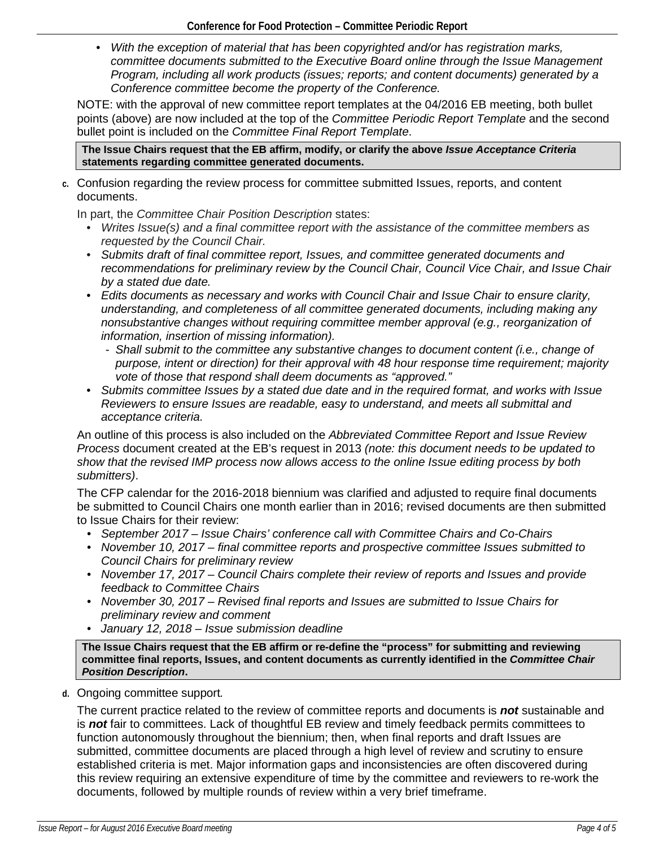• *With the exception of material that has been copyrighted and/or has registration marks, committee documents submitted to the Executive Board online through the Issue Management Program, including all work products (issues; reports; and content documents) generated by a Conference committee become the property of the Conference.*

NOTE: with the approval of new committee report templates at the 04/2016 EB meeting, both bullet points (above) are now included at the top of the *Committee Periodic Report Template* and the second bullet point is included on the *Committee Final Report Template*.

**The Issue Chairs request that the EB affirm, modify, or clarify the above** *Issue Acceptance Criteria* **statements regarding committee generated documents.**

**c.** Confusion regarding the review process for committee submitted Issues, reports, and content documents.

In part, the *Committee Chair Position Description* states:

- *Writes Issue(s) and a final committee report with the assistance of the committee members as requested by the Council Chair.*
- *Submits draft of final committee report, Issues, and committee generated documents and recommendations for preliminary review by the Council Chair, Council Vice Chair, and Issue Chair by a stated due date.*
- *Edits documents as necessary and works with Council Chair and Issue Chair to ensure clarity, understanding, and completeness of all committee generated documents, including making any nonsubstantive changes without requiring committee member approval (e.g., reorganization of information, insertion of missing information).*
	- *Shall submit to the committee any substantive changes to document content (i.e., change of purpose, intent or direction) for their approval with 48 hour response time requirement; majority vote of those that respond shall deem documents as "approved."*
- *Submits committee Issues by a stated due date and in the required format, and works with Issue Reviewers to ensure Issues are readable, easy to understand, and meets all submittal and acceptance criteria.*

An outline of this process is also included on the *Abbreviated Committee Report and Issue Review Process* document created at the EB's request in 2013 *(note: this document needs to be updated to show that the revised IMP process now allows access to the online Issue editing process by both submitters)*.

The CFP calendar for the 2016-2018 biennium was clarified and adjusted to require final documents be submitted to Council Chairs one month earlier than in 2016; revised documents are then submitted to Issue Chairs for their review:

- *September 2017 – Issue Chairs' conference call with Committee Chairs and Co-Chairs*
- *November 10, 2017 – final committee reports and prospective committee Issues submitted to Council Chairs for preliminary review*
- *November 17, 2017 – Council Chairs complete their review of reports and Issues and provide feedback to Committee Chairs*
- *November 30, 2017 – Revised final reports and Issues are submitted to Issue Chairs for preliminary review and comment*
- *January 12, 2018 – Issue submission deadline*

**The Issue Chairs request that the EB affirm or re-define the "process" for submitting and reviewing committee final reports, Issues, and content documents as currently identified in the** *Committee Chair Position Description***.**

**d.** Ongoing committee support*.* 

The current practice related to the review of committee reports and documents is *not* sustainable and is *not* fair to committees. Lack of thoughtful EB review and timely feedback permits committees to function autonomously throughout the biennium; then, when final reports and draft Issues are submitted, committee documents are placed through a high level of review and scrutiny to ensure established criteria is met. Major information gaps and inconsistencies are often discovered during this review requiring an extensive expenditure of time by the committee and reviewers to re-work the documents, followed by multiple rounds of review within a very brief timeframe.